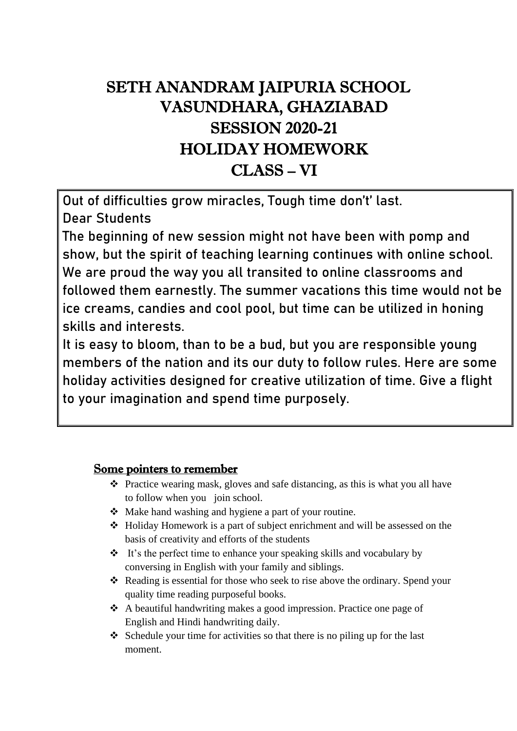# SETH ANANDRAM JAIPURIA SCHOOL VASUNDHARA, GHAZIABAD SESSION 2020-21 HOLIDAY HOMEWORK CLASS – VI

Out of difficulties grow miracles, Tough time don't' last. Dear Students

The beginning of new session might not have been with pomp and show, but the spirit of teaching learning continues with online school. We are proud the way you all transited to online classrooms and followed them earnestly. The summer vacations this time would not be ice creams, candies and cool pool, but time can be utilized in honing skills and interests.

It is easy to bloom, than to be a bud, but you are responsible young members of the nation and its our duty to follow rules. Here are some holiday activities designed for creative utilization of time. Give a flight to your imagination and spend time purposely.

## Some pointers to remember

- ❖ Practice wearing mask, gloves and safe distancing, as this is what you all have to follow when you join school.
- ❖ Make hand washing and hygiene a part of your routine.
- ❖ Holiday Homework is a part of subject enrichment and will be assessed on the basis of creativity and efforts of the students
- ❖ It's the perfect time to enhance your speaking skills and vocabulary by conversing in English with your family and siblings.
- ❖ Reading is essential for those who seek to rise above the ordinary. Spend your quality time reading purposeful books.
- ❖ A beautiful handwriting makes a good impression. Practice one page of English and Hindi handwriting daily.
- ❖ Schedule your time for activities so that there is no piling up for the last moment.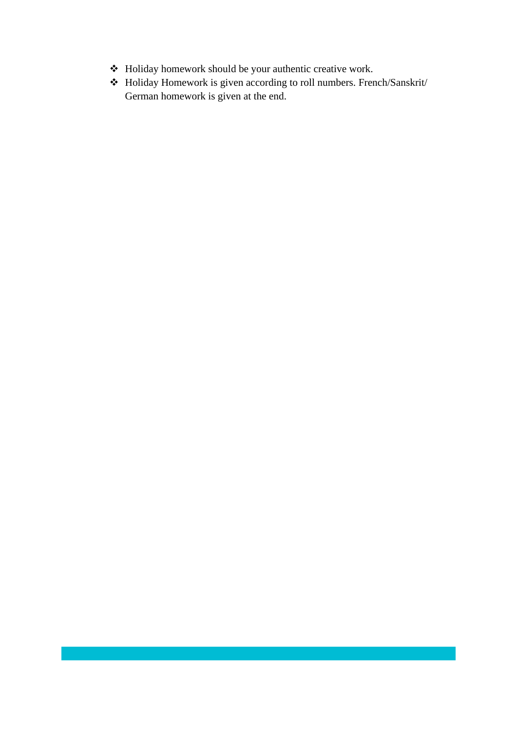- ❖ Holiday homework should be your authentic creative work.
- ❖ Holiday Homework is given according to roll numbers. French/Sanskrit/ German homework is given at the end.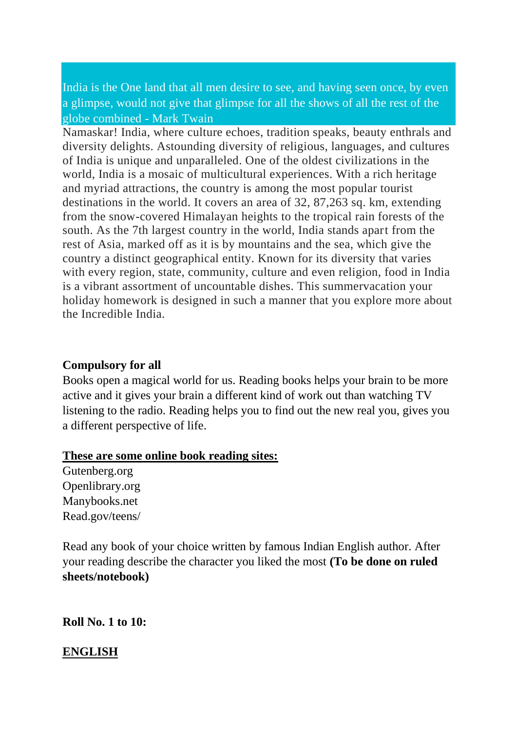India is the One land that all men desire to see, and having seen once, by even a glimpse, would not give that glimpse for all the shows of all the rest of the globe combined - Mark Twain

Namaskar! India, where culture echoes, tradition speaks, beauty enthrals and diversity delights. Astounding diversity of religious, languages, and cultures of India is unique and unparalleled. One of the oldest civilizations in the world, India is a mosaic of multicultural experiences. With a rich heritage and myriad attractions, the country is among the most popular tourist destinations in the world. It covers an area of 32, 87,263 sq. km, extending from the snow-covered Himalayan heights to the tropical rain forests of the south. As the 7th largest country in the world, India stands apart from the rest of Asia, marked off as it is by mountains and the sea, which give the country a distinct geographical entity. Known for its diversity that varies with every region, state, community, culture and even religion, food in India is a vibrant assortment of uncountable dishes. This summervacation your holiday homework is designed in such a manner that you explore more about the Incredible India.

#### **Compulsory for all**

Books open a magical world for us. Reading books helps your brain to be more active and it gives your brain a different kind of work out than watching TV listening to the radio. Reading helps you to find out the new real you, gives you a different perspective of life.

#### **These are some online book reading sites:**

Gutenberg.org Openlibrary.org Manybooks.net Read.gov/teens/

Read any book of your choice written by famous Indian English author. After your reading describe the character you liked the most **(To be done on ruled sheets/notebook)**

**Roll No. 1 to 10:** 

### **ENGLISH**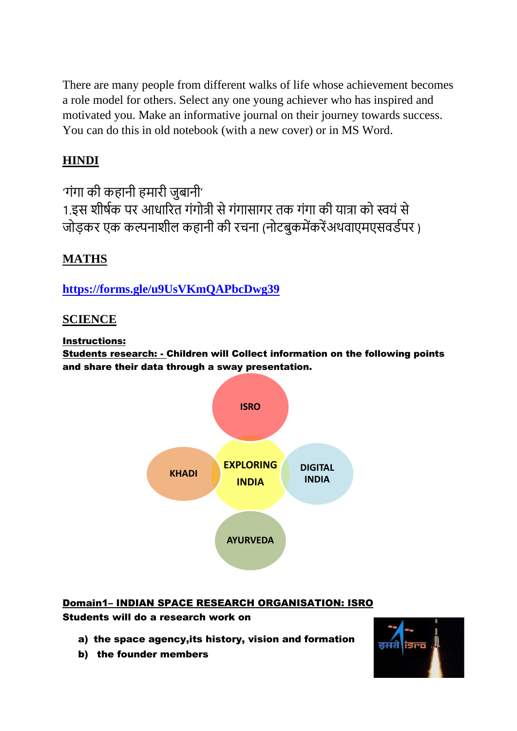There are many people from different walks of life whose achievement becomes a role model for others. Select any one young achiever who has inspired and motivated you. Make an informative journal on their journey towards success. You can do this in old notebook (with a new cover) or in MS Word.

## **HINDI**

'गंगा की कहानी हमारी जुबानी' 1.इस शीर्षक पर आधाररत गंगोत्री से गंगासागर तक गंगा की यात्रा को स्वयं से जोड़कर एक कल्पनाशील कहानी की रचना (नोटबुकमेंकरेंअथवाएमएसवर्डपर )

## **MATHS**

**<https://forms.gle/u9UsVKmQAPbcDwg39>**

## **SCIENCE**

Instructions:

Students research: - Children will Collect information on the following points and share their data through a sway presentation.



## Domain1– INDIAN SPACE RESEARCH ORGANISATION: ISRO

Students will do a research work on

- a) the space agency,its history, vision and formation
- b) the founder members

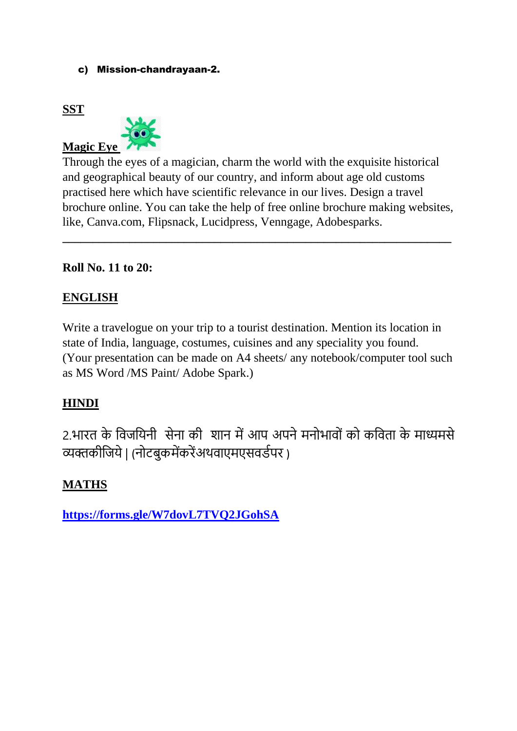#### c) Mission-chandrayaan-2.

## **SST**



Through the eyes of a magician, charm the world with the exquisite historical and geographical beauty of our country, and inform about age old customs practised here which have scientific relevance in our lives. Design a travel brochure online. You can take the help of free online brochure making websites, like, Canva.com, Flipsnack, Lucidpress, Venngage, Adobesparks.

**\_\_\_\_\_\_\_\_\_\_\_\_\_\_\_\_\_\_\_\_\_\_\_\_\_\_\_\_\_\_\_\_\_\_\_\_\_\_\_\_\_\_\_\_\_\_\_\_\_\_\_\_\_\_\_\_\_\_\_\_\_\_\_\_**

## **Roll No. 11 to 20:**

## **ENGLISH**

Write a travelogue on your trip to a tourist destination. Mention its location in state of India, language, costumes, cuisines and any speciality you found. (Your presentation can be made on A4 sheets/ any notebook/computer tool such as MS Word /MS Paint/ Adobe Spark.)

## **HINDI**

2.भारत के विजवयनी सेना की शान में आप अपने मनोभािों को कविता के माध्यमसे व्यक्तकीवजये | (नोटबुकमेंकरेंअथवाएमएसवर्डपर )

## **MATHS**

**<https://forms.gle/W7dovL7TVQ2JGohSA>**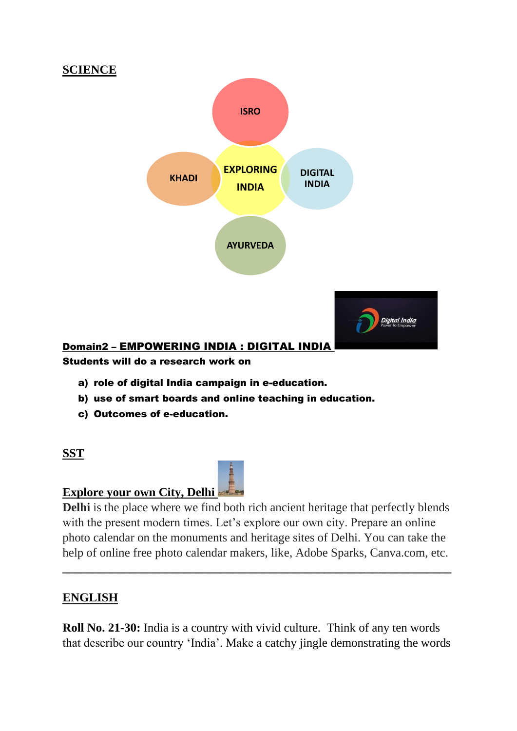

#### Students will do a research work on

- a) role of digital India campaign in e-education.
- b) use of smart boards and online teaching in education.
- c) Outcomes of e-education.

### **SST**

### **Explore your own City, Delhi**

**Delhi** is the place where we find both rich ancient heritage that perfectly blends with the present modern times. Let's explore our own city. Prepare an online photo calendar on the monuments and heritage sites of Delhi. You can take the help of online free photo calendar makers, like, Adobe Sparks, Canva.com, etc.

**\_\_\_\_\_\_\_\_\_\_\_\_\_\_\_\_\_\_\_\_\_\_\_\_\_\_\_\_\_\_\_\_\_\_\_\_\_\_\_\_\_\_\_\_\_\_\_\_\_\_\_\_\_\_\_\_\_\_\_\_\_\_\_\_**

### **ENGLISH**

**Roll No. 21-30:** India is a country with vivid culture. Think of any ten words that describe our country 'India'. Make a catchy jingle demonstrating the words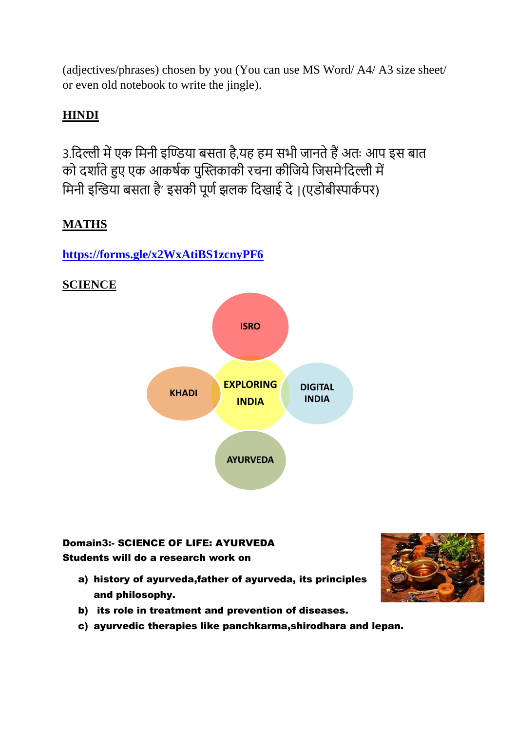(adjectives/phrases) chosen by you (You can use MS Word/ A4/ A3 size sheet/ or even old notebook to write the jingle).

## **HINDI**

3.विल्ली में एक वमनी इण्डिया बसता है,यह हम सभी जानते हैं अतः आप इस बात को दर्शाते हुए एक आकर्षक पुस्तिकाकी रचना कीजिये जिसमे'दिल्ली में मिनी इन्डिया बसता है' इसकी पूर्ण झलक दिखाई दे।(एडोबीस्पार्कपर)

## **MATHS**

## **<https://forms.gle/x2WxAtiBS1zcnyPF6>**



# **SCIENCE**

# Domain3:- SCIENCE OF LIFE: AYURVEDA

Students will do a research work on

- a) history of ayurveda,father of ayurveda, its principles and philosophy.
- b) its role in treatment and prevention of diseases.
- c) ayurvedic therapies like panchkarma,shirodhara and lepan.

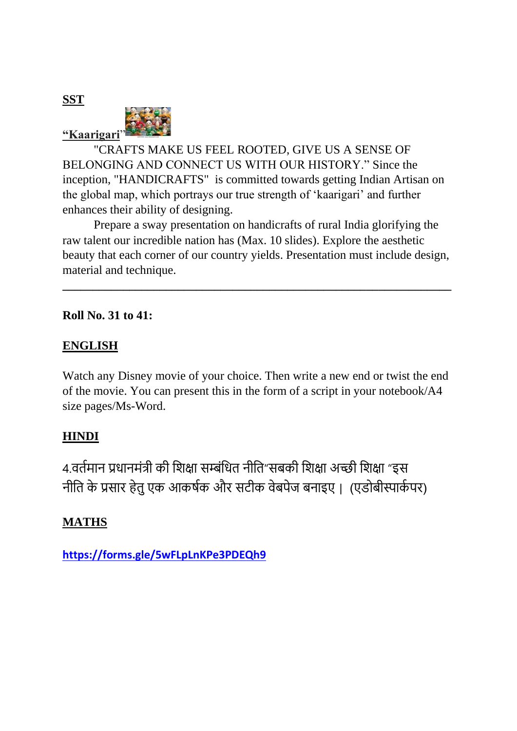**SST**



"CRAFTS MAKE US FEEL ROOTED, GIVE US A SENSE OF BELONGING AND CONNECT US WITH OUR HISTORY." Since the inception, "HANDICRAFTS" is committed towards getting Indian Artisan on the global map, which portrays our true strength of 'kaarigari' and further enhances their ability of designing.

Prepare a sway presentation on handicrafts of rural India glorifying the raw talent our incredible nation has (Max. 10 slides). Explore the aesthetic beauty that each corner of our country yields. Presentation must include design, material and technique.

**\_\_\_\_\_\_\_\_\_\_\_\_\_\_\_\_\_\_\_\_\_\_\_\_\_\_\_\_\_\_\_\_\_\_\_\_\_\_\_\_\_\_\_\_\_\_\_\_\_\_\_\_\_\_\_\_\_\_\_\_\_\_\_\_**

### **Roll No. 31 to 41:**

## **ENGLISH**

Watch any Disney movie of your choice. Then write a new end or twist the end of the movie. You can present this in the form of a script in your notebook/A4 size pages/Ms-Word.

## **HINDI**

4.वर्तमान प्रधानमंत्री की शिक्षा सम्बंधित नीति"सबकी शिक्षा अच्छी शिक्षा "इस नीति के प्रसार हेतु एक आकर्षक और सटीक वेबपेज बनाइए । (एडोबीस्पार्कपर)

## **MATHS**

**<https://forms.gle/5wFLpLnKPe3PDEQh9>**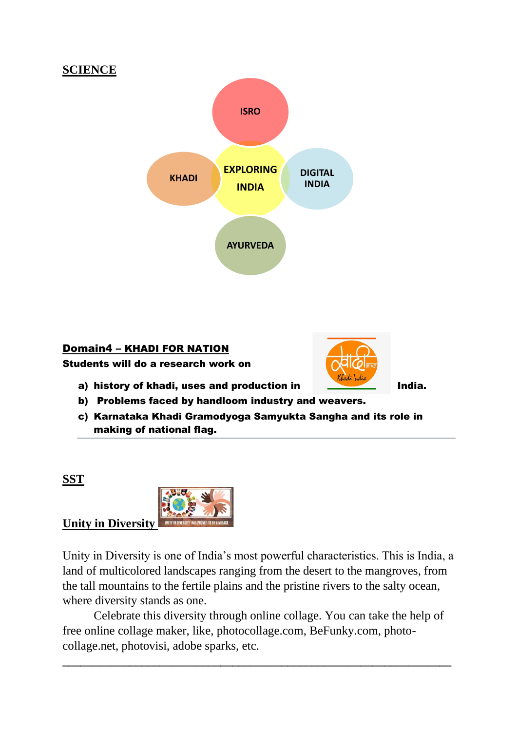



# Domain4 – KHADI FOR NATION

Students will do a research work on



- a) history of khadi, uses and production in India.
- b) Problems faced by handloom industry and weavers.
- c) Karnataka Khadi Gramodyoga Samyukta Sangha and its role in making of national flag.

**SST**



Unity in Diversity is one of India's most powerful characteristics. This is India, a land of multicolored landscapes ranging from the desert to the mangroves, from the tall mountains to the fertile plains and the pristine rivers to the salty ocean, where diversity stands as one.

Celebrate this diversity through online collage. You can take the help of free online collage maker, like, photocollage.com, BeFunky.com, photocollage.net, photovisi, adobe sparks, etc.

**\_\_\_\_\_\_\_\_\_\_\_\_\_\_\_\_\_\_\_\_\_\_\_\_\_\_\_\_\_\_\_\_\_\_\_\_\_\_\_\_\_\_\_\_\_\_\_\_\_\_\_\_\_\_\_\_\_\_\_\_\_\_\_\_**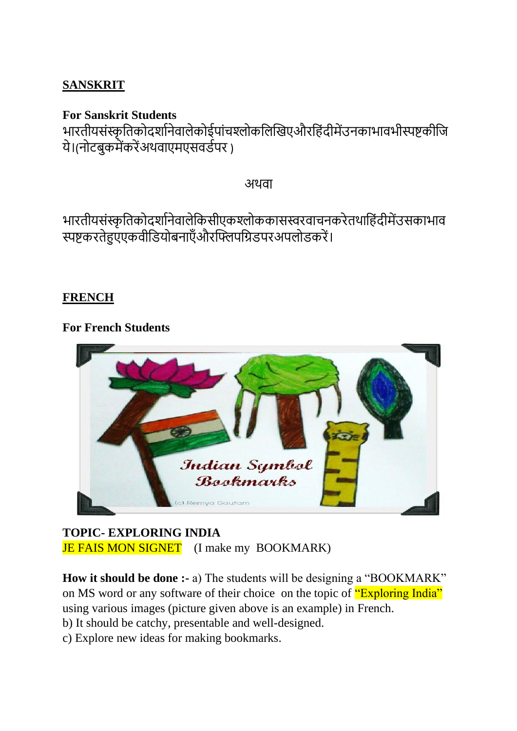## **SANSKRIT**

## **For Sanskrit Students**

भारतीयसंस्कृतिकोदर्शानेवालेकोईपांचश्लोकलिखिएऔरहिंदीमेंउनकाभावभीस्पष्टकीजि ये।(नोटबुकमेंकरेंअथवाएमएसवर्डपर )

अथवा

भारतीयसंस्कृतिकोदर्शानेवालेकिसीएकश्लोककासस्वरवाचनकरेतथाहिंदीमेंउसकाभाव स्पष्टकरतेहुएएकवीतर्योबनाएँऔरस्तिपतिर्परअपलोर्करें।

## **FRENCH**

## **For French Students**



# **TOPIC- EXPLORING INDIA JE FAIS MON SIGNET** (I make my BOOKMARK)

**How it should be done :-** a) The students will be designing a "BOOKMARK" on MS word or any software of their choice on the topic of "Exploring India" using various images (picture given above is an example) in French.

b) It should be catchy, presentable and well-designed.

c) Explore new ideas for making bookmarks.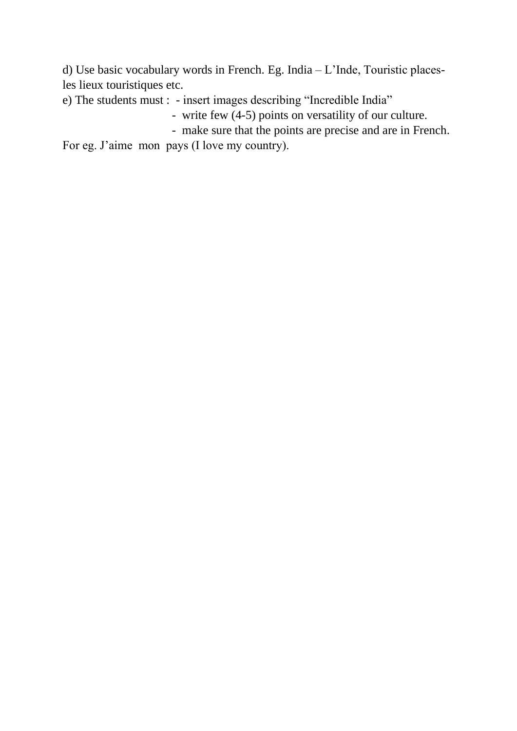d) Use basic vocabulary words in French. Eg. India – L'Inde, Touristic placesles lieux touristiques etc.

e) The students must : - insert images describing "Incredible India"

- write few (4-5) points on versatility of our culture.
- make sure that the points are precise and are in French.

For eg. J'aime mon pays (I love my country).